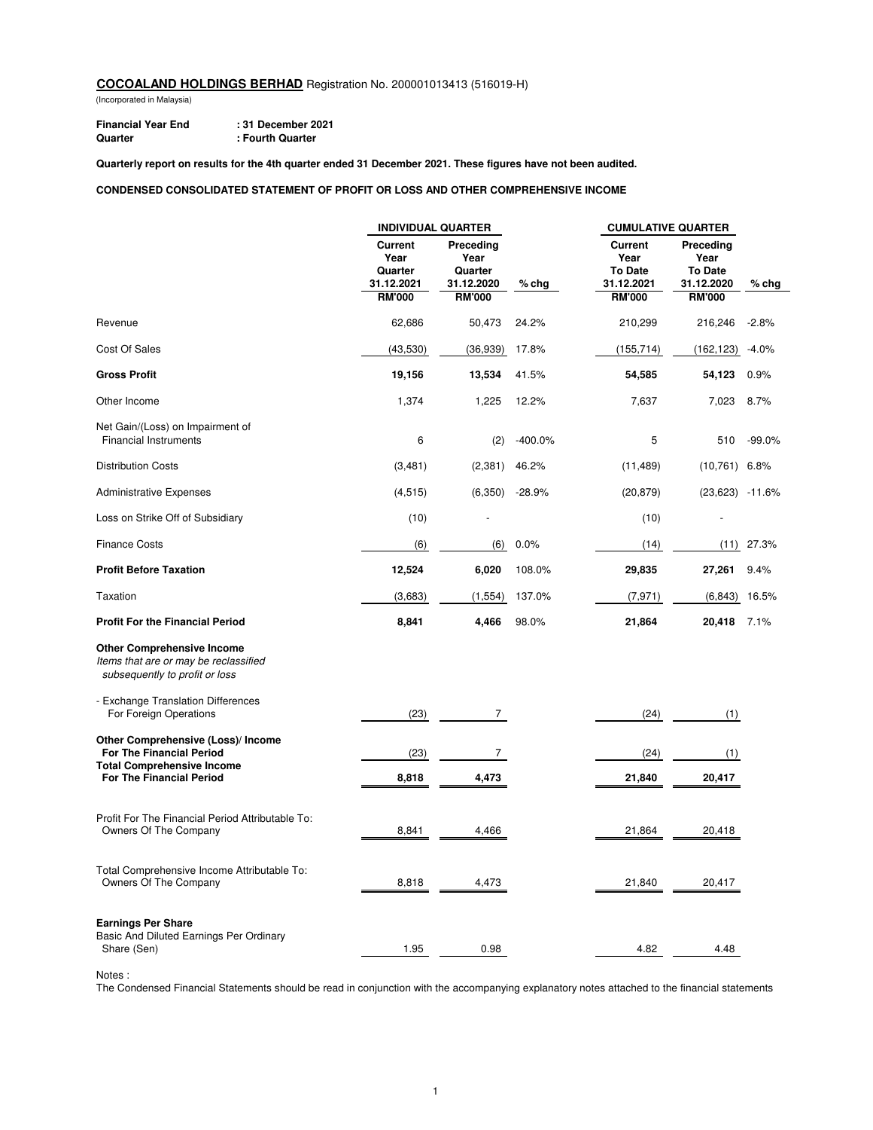(Incorporated in Malaysia)

**Financial Year End : 31 December 2021 Quarter : Fourth Quarter**

**Quarterly report on results for the 4th quarter ended 31 December 2021. These figures have not been audited.**

#### **CONDENSED CONSOLIDATED STATEMENT OF PROFIT OR LOSS AND OTHER COMPREHENSIVE INCOME**

|                                                                                                              | <b>INDIVIDUAL QUARTER</b>                                        |                                                             |           | <b>CUMULATIVE QUARTER</b>                                               |                                                                    |          |
|--------------------------------------------------------------------------------------------------------------|------------------------------------------------------------------|-------------------------------------------------------------|-----------|-------------------------------------------------------------------------|--------------------------------------------------------------------|----------|
|                                                                                                              | <b>Current</b><br>Year<br>Quarter<br>31.12.2021<br><b>RM'000</b> | Preceding<br>Year<br>Quarter<br>31.12.2020<br><b>RM'000</b> | $%$ chg   | <b>Current</b><br>Year<br><b>To Date</b><br>31.12.2021<br><b>RM'000</b> | Preceding<br>Year<br><b>To Date</b><br>31.12.2020<br><b>RM'000</b> | $%$ chg  |
| Revenue                                                                                                      | 62,686                                                           | 50,473                                                      | 24.2%     | 210,299                                                                 | 216,246                                                            | $-2.8%$  |
| Cost Of Sales                                                                                                | (43,530)                                                         | (36, 939)                                                   | 17.8%     | (155, 714)                                                              | (162, 123)                                                         | $-4.0%$  |
| <b>Gross Profit</b>                                                                                          | 19,156                                                           | 13,534                                                      | 41.5%     | 54,585                                                                  | 54,123                                                             | 0.9%     |
| Other Income                                                                                                 | 1,374                                                            | 1,225                                                       | 12.2%     | 7,637                                                                   | 7,023                                                              | 8.7%     |
| Net Gain/(Loss) on Impairment of<br><b>Financial Instruments</b>                                             | 6                                                                | (2)                                                         | $-400.0%$ | 5                                                                       | 510                                                                | $-99.0%$ |
| <b>Distribution Costs</b>                                                                                    | (3,481)                                                          | (2, 381)                                                    | 46.2%     | (11, 489)                                                               | $(10,761)$ 6.8%                                                    |          |
| <b>Administrative Expenses</b>                                                                               | (4, 515)                                                         | (6, 350)                                                    | $-28.9%$  | (20, 879)                                                               | $(23,623)$ -11.6%                                                  |          |
| Loss on Strike Off of Subsidiary                                                                             | (10)                                                             |                                                             |           | (10)                                                                    |                                                                    |          |
| <b>Finance Costs</b>                                                                                         | (6)                                                              | (6)                                                         | 0.0%      | (14)                                                                    | (11)                                                               | 27.3%    |
| <b>Profit Before Taxation</b>                                                                                | 12,524                                                           | 6,020                                                       | 108.0%    | 29,835                                                                  | 27,261                                                             | 9.4%     |
| Taxation                                                                                                     | (3,683)                                                          | (1, 554)                                                    | 137.0%    | (7, 971)                                                                | (6, 843)                                                           | 16.5%    |
| <b>Profit For the Financial Period</b>                                                                       | 8,841                                                            | 4,466                                                       | 98.0%     | 21,864                                                                  | 20,418                                                             | 7.1%     |
| <b>Other Comprehensive Income</b><br>Items that are or may be reclassified<br>subsequently to profit or loss |                                                                  |                                                             |           |                                                                         |                                                                    |          |
| - Exchange Translation Differences<br>For Foreign Operations                                                 | (23)                                                             | $\overline{7}$                                              |           | (24)                                                                    | (1)                                                                |          |
| Other Comprehensive (Loss)/ Income<br>For The Financial Period                                               | (23)                                                             | $\overline{7}$                                              |           | (24)                                                                    | (1)                                                                |          |
| <b>Total Comprehensive Income</b><br>For The Financial Period                                                | 8,818                                                            | 4,473                                                       |           | 21,840                                                                  | 20,417                                                             |          |
| Profit For The Financial Period Attributable To:<br>Owners Of The Company                                    | 8,841                                                            | 4,466                                                       |           | 21,864                                                                  | 20,418                                                             |          |
| Total Comprehensive Income Attributable To:<br>Owners Of The Company                                         | 8,818                                                            | 4,473                                                       |           | 21,840                                                                  | 20,417                                                             |          |
| <b>Earnings Per Share</b><br>Basic And Diluted Earnings Per Ordinary<br>Share (Sen)                          | 1.95                                                             | 0.98                                                        |           | 4.82                                                                    | 4.48                                                               |          |

Notes :

The Condensed Financial Statements should be read in conjunction with the accompanying explanatory notes attached to the financial statements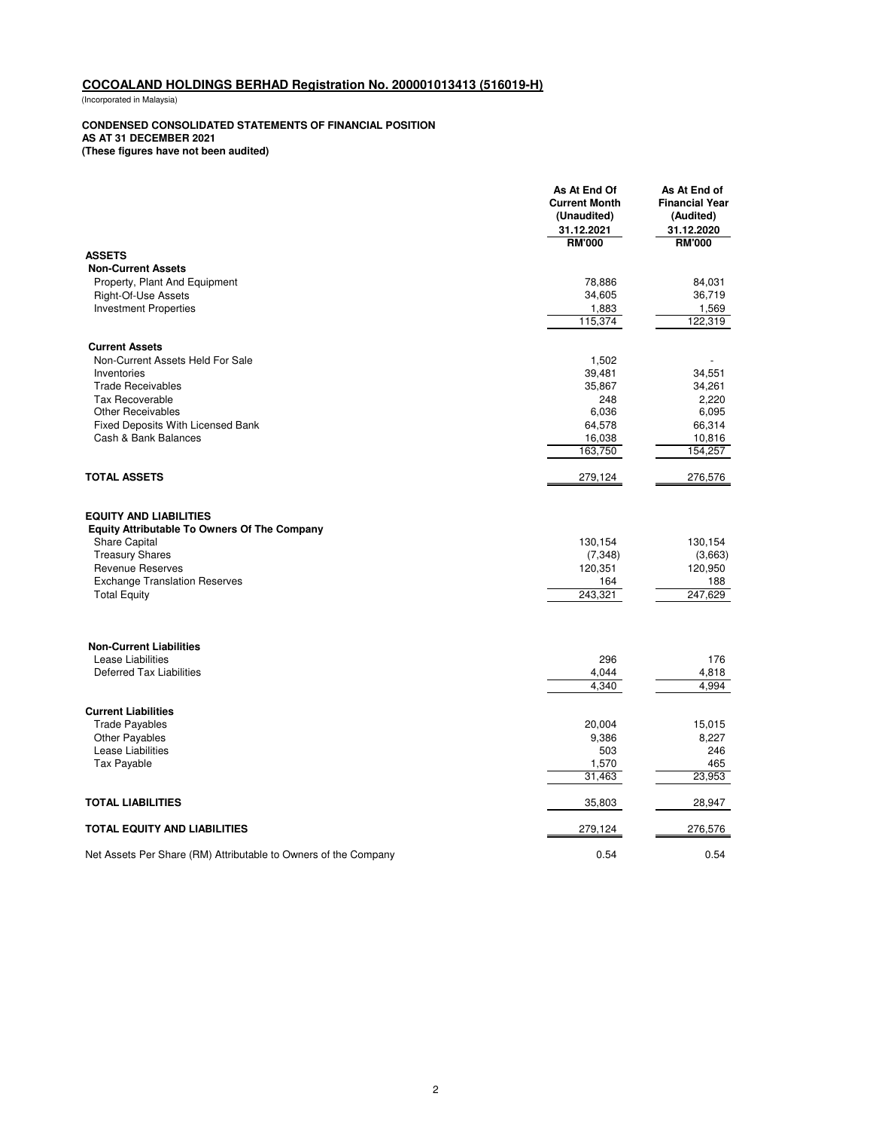(Incorporated in Malaysia)

#### **CONDENSED CONSOLIDATED STATEMENTS OF FINANCIAL POSITION**

**AS AT 31 DECEMBER 2021**

**(These figures have not been audited)**

|                                                                                      | As At End Of<br><b>Current Month</b><br>(Unaudited)<br>31.12.2021 | As At End of<br><b>Financial Year</b><br>(Audited)<br>31.12.2020 |
|--------------------------------------------------------------------------------------|-------------------------------------------------------------------|------------------------------------------------------------------|
|                                                                                      | <b>RM'000</b>                                                     | <b>RM'000</b>                                                    |
| <b>ASSETS</b>                                                                        |                                                                   |                                                                  |
| <b>Non-Current Assets</b><br>Property, Plant And Equipment                           | 78,886                                                            | 84,031                                                           |
| Right-Of-Use Assets                                                                  | 34,605                                                            | 36,719                                                           |
| <b>Investment Properties</b>                                                         | 1,883                                                             | 1,569                                                            |
|                                                                                      | 115,374                                                           | 122,319                                                          |
| <b>Current Assets</b>                                                                |                                                                   |                                                                  |
| Non-Current Assets Held For Sale                                                     | 1,502                                                             |                                                                  |
| Inventories                                                                          | 39,481                                                            | 34,551                                                           |
| <b>Trade Receivables</b>                                                             | 35,867                                                            | 34,261                                                           |
| <b>Tax Recoverable</b>                                                               | 248                                                               | 2,220                                                            |
| <b>Other Receivables</b>                                                             | 6,036                                                             | 6,095                                                            |
| <b>Fixed Deposits With Licensed Bank</b>                                             | 64,578                                                            | 66,314                                                           |
| Cash & Bank Balances                                                                 | 16,038                                                            | 10,816                                                           |
|                                                                                      | 163,750                                                           | 154,257                                                          |
| <b>TOTAL ASSETS</b>                                                                  | 279,124                                                           | 276,576                                                          |
| <b>EQUITY AND LIABILITIES</b><br><b>Equity Attributable To Owners Of The Company</b> |                                                                   |                                                                  |
| <b>Share Capital</b>                                                                 | 130,154                                                           | 130,154                                                          |
| <b>Treasury Shares</b>                                                               | (7, 348)                                                          | (3,663)                                                          |
| <b>Revenue Reserves</b>                                                              | 120,351                                                           | 120,950                                                          |
| <b>Exchange Translation Reserves</b>                                                 | 164                                                               | 188                                                              |
| <b>Total Equity</b>                                                                  | 243,321                                                           | 247,629                                                          |
| <b>Non-Current Liabilities</b>                                                       |                                                                   |                                                                  |
| Lease Liabilities                                                                    | 296                                                               | 176                                                              |
| <b>Deferred Tax Liabilities</b>                                                      | 4,044                                                             | 4,818                                                            |
|                                                                                      | 4,340                                                             | 4,994                                                            |
| <b>Current Liabilities</b>                                                           |                                                                   |                                                                  |
| <b>Trade Payables</b>                                                                | 20,004                                                            | 15,015                                                           |
| <b>Other Payables</b>                                                                | 9,386                                                             | 8,227                                                            |
| Lease Liabilities                                                                    | 503                                                               | 246                                                              |
| Tax Payable                                                                          | 1,570                                                             | 465                                                              |
|                                                                                      | 31,463                                                            | 23.953                                                           |
| <b>TOTAL LIABILITIES</b>                                                             | 35,803                                                            | 28,947                                                           |
| TOTAL EQUITY AND LIABILITIES                                                         | 279,124                                                           | 276,576                                                          |
| Net Assets Per Share (RM) Attributable to Owners of the Company                      | 0.54                                                              | 0.54                                                             |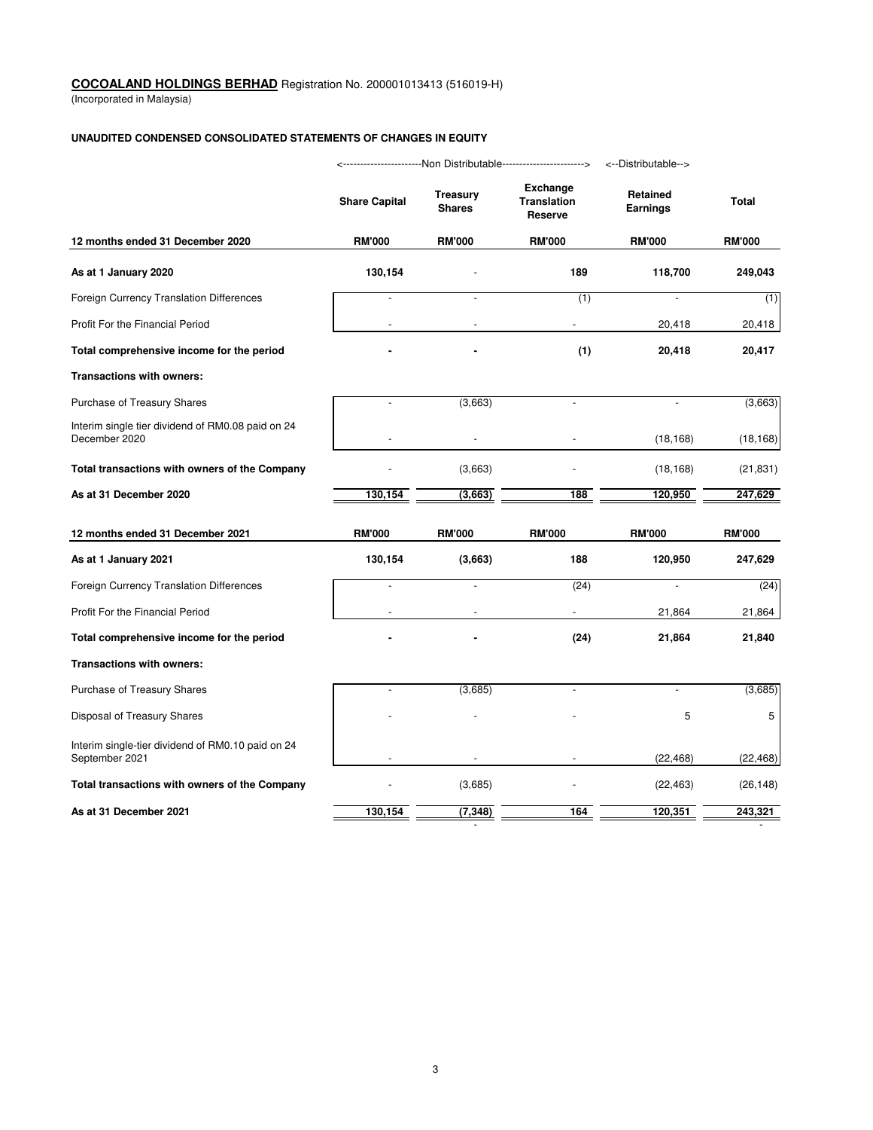(Incorporated in Malaysia)

## **UNAUDITED CONDENSED CONSOLIDATED STATEMENTS OF CHANGES IN EQUITY**

|                                                                     |                      | ------------------Non Distributable-----------------------> |                                                         | <--Distributable-->                |               |
|---------------------------------------------------------------------|----------------------|-------------------------------------------------------------|---------------------------------------------------------|------------------------------------|---------------|
|                                                                     | <b>Share Capital</b> | <b>Treasury</b><br><b>Shares</b>                            | <b>Exchange</b><br><b>Translation</b><br><b>Reserve</b> | <b>Retained</b><br><b>Earnings</b> | <b>Total</b>  |
| 12 months ended 31 December 2020                                    | <b>RM'000</b>        | <b>RM'000</b>                                               | <b>RM'000</b>                                           | <b>RM'000</b>                      | <b>RM'000</b> |
| As at 1 January 2020                                                | 130,154              |                                                             | 189                                                     | 118,700                            | 249,043       |
| Foreign Currency Translation Differences                            |                      |                                                             | (1)                                                     |                                    | (1)           |
| Profit For the Financial Period                                     |                      |                                                             |                                                         | 20,418                             | 20,418        |
| Total comprehensive income for the period                           |                      |                                                             | (1)                                                     | 20,418                             | 20,417        |
| Transactions with owners:                                           |                      |                                                             |                                                         |                                    |               |
| Purchase of Treasury Shares                                         |                      | (3,663)                                                     |                                                         |                                    | (3,663)       |
| Interim single tier dividend of RM0.08 paid on 24<br>December 2020  |                      |                                                             |                                                         | (18, 168)                          | (18, 168)     |
| Total transactions with owners of the Company                       |                      | (3,663)                                                     |                                                         | (18, 168)                          | (21, 831)     |
| As at 31 December 2020                                              | 130,154              | (3,663)                                                     | 188                                                     | 120,950                            | 247,629       |
| 12 months ended 31 December 2021                                    | <b>RM'000</b>        | <b>RM'000</b>                                               | <b>RM'000</b>                                           | <b>RM'000</b>                      | <b>RM'000</b> |
| As at 1 January 2021                                                | 130,154              | (3,663)                                                     | 188                                                     | 120,950                            | 247,629       |
| Foreign Currency Translation Differences                            |                      |                                                             | (24)                                                    |                                    | (24)          |
| Profit For the Financial Period                                     |                      |                                                             |                                                         | 21,864                             | 21,864        |
| Total comprehensive income for the period                           |                      |                                                             | (24)                                                    | 21,864                             | 21,840        |
| Transactions with owners:                                           |                      |                                                             |                                                         |                                    |               |
| Purchase of Treasury Shares                                         |                      | (3,685)                                                     |                                                         |                                    | (3,685)       |
| Disposal of Treasury Shares                                         |                      |                                                             |                                                         | 5                                  | 5             |
| Interim single-tier dividend of RM0.10 paid on 24<br>September 2021 |                      |                                                             |                                                         | (22, 468)                          | (22, 468)     |
| Total transactions with owners of the Company                       |                      | (3,685)                                                     |                                                         | (22, 463)                          | (26, 148)     |
| As at 31 December 2021                                              | 130,154              | (7, 348)                                                    | 164                                                     | 120,351                            | 243,321       |

- -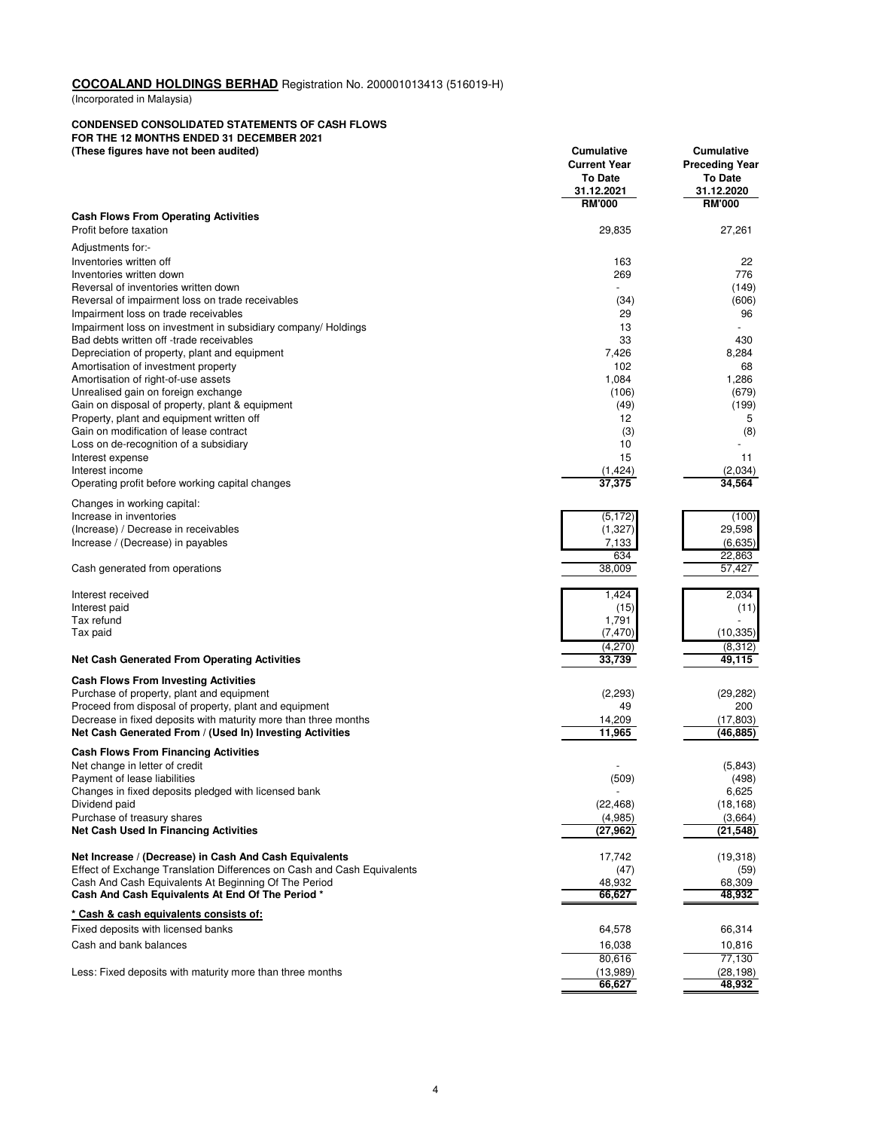(Incorporated in Malaysia)

#### **CONDENSED CONSOLIDATED STATEMENTS OF CASH FLOWS**

**FOR THE 12 MONTHS ENDED 31 DECEMBER 2021 (These figures have not been audited) Cumulative Cumulative**

| (Triese ligures have not been addited)                                                                                      | Cumulative<br><b>Current Year</b><br><b>To Date</b><br>31.12.2021 | Cumulative<br><b>Preceding Year</b><br><b>To Date</b><br>31.12.2020 |
|-----------------------------------------------------------------------------------------------------------------------------|-------------------------------------------------------------------|---------------------------------------------------------------------|
| <b>Cash Flows From Operating Activities</b>                                                                                 | <b>RM'000</b>                                                     | <b>RM'000</b>                                                       |
| Profit before taxation                                                                                                      | 29,835                                                            | 27,261                                                              |
| Adjustments for:-                                                                                                           |                                                                   |                                                                     |
| Inventories written off                                                                                                     | 163                                                               | 22                                                                  |
| Inventories written down                                                                                                    | 269                                                               | 776                                                                 |
| Reversal of inventories written down                                                                                        |                                                                   | (149)                                                               |
| Reversal of impairment loss on trade receivables                                                                            | (34)                                                              | (606)                                                               |
| Impairment loss on trade receivables                                                                                        | 29                                                                | 96                                                                  |
| Impairment loss on investment in subsidiary company/ Holdings                                                               | 13                                                                |                                                                     |
| Bad debts written off -trade receivables<br>Depreciation of property, plant and equipment                                   | 33<br>7,426                                                       | 430<br>8,284                                                        |
| Amortisation of investment property                                                                                         | 102                                                               | 68                                                                  |
| Amortisation of right-of-use assets                                                                                         | 1,084                                                             | 1,286                                                               |
| Unrealised gain on foreign exchange                                                                                         | (106)                                                             | (679)                                                               |
| Gain on disposal of property, plant & equipment                                                                             | (49)                                                              | (199)                                                               |
| Property, plant and equipment written off                                                                                   | 12                                                                | 5                                                                   |
| Gain on modification of lease contract<br>Loss on de-recognition of a subsidiary                                            | (3)<br>10                                                         | (8)                                                                 |
| Interest expense                                                                                                            | 15                                                                | 11                                                                  |
| Interest income                                                                                                             | (1, 424)                                                          | (2,034)                                                             |
| Operating profit before working capital changes                                                                             | 37,375                                                            | 34,564                                                              |
| Changes in working capital:                                                                                                 |                                                                   |                                                                     |
| Increase in inventories                                                                                                     | (5, 172)                                                          | (100)                                                               |
| (Increase) / Decrease in receivables                                                                                        | (1,327)                                                           | 29,598                                                              |
| Increase / (Decrease) in payables                                                                                           | 7,133                                                             | (6,635)                                                             |
|                                                                                                                             | 634                                                               | 22,863                                                              |
| Cash generated from operations                                                                                              | 38,009                                                            | 57,427                                                              |
| Interest received                                                                                                           | 1,424                                                             | 2,034                                                               |
| Interest paid                                                                                                               | (15)                                                              | (11)                                                                |
| Tax refund                                                                                                                  | 1,791                                                             |                                                                     |
| Tax paid                                                                                                                    | (7, 470)                                                          | (10, 335)                                                           |
|                                                                                                                             | (4,270)                                                           | (8,312)                                                             |
| <b>Net Cash Generated From Operating Activities</b>                                                                         | 33,739                                                            | 49,115                                                              |
| <b>Cash Flows From Investing Activities</b>                                                                                 |                                                                   |                                                                     |
| Purchase of property, plant and equipment                                                                                   | (2,293)                                                           | (29, 282)                                                           |
| Proceed from disposal of property, plant and equipment                                                                      | 49                                                                | 200                                                                 |
| Decrease in fixed deposits with maturity more than three months<br>Net Cash Generated From / (Used In) Investing Activities | 14,209<br>11,965                                                  | (17, 803)<br>(46, 885)                                              |
|                                                                                                                             |                                                                   |                                                                     |
| <b>Cash Flows From Financing Activities</b>                                                                                 |                                                                   |                                                                     |
| Net change in letter of credit<br>Payment of lease liabilities                                                              | (509)                                                             | (5, 843)<br>(498)                                                   |
| Changes in fixed deposits pledged with licensed bank                                                                        |                                                                   | 6,625                                                               |
| Dividend paid                                                                                                               | (22, 468)                                                         | (18, 168)                                                           |
| Purchase of treasury shares                                                                                                 | (4,985)                                                           | (3,664)                                                             |
| <b>Net Cash Used In Financing Activities</b>                                                                                | (27, 962)                                                         | (21, 548)                                                           |
| Net Increase / (Decrease) in Cash And Cash Equivalents                                                                      | 17,742                                                            | (19, 318)                                                           |
| Effect of Exchange Translation Differences on Cash and Cash Equivalents                                                     | (47)                                                              | (59)                                                                |
| Cash And Cash Equivalents At Beginning Of The Period                                                                        | 48,932                                                            | 68,309                                                              |
| Cash And Cash Equivalents At End Of The Period *                                                                            | 66,627                                                            | 48,932                                                              |
| * Cash & cash equivalents consists of:                                                                                      |                                                                   |                                                                     |
| Fixed deposits with licensed banks                                                                                          | 64,578                                                            | 66,314                                                              |
| Cash and bank balances                                                                                                      | 16,038                                                            | 10,816                                                              |
|                                                                                                                             | 80,616                                                            | 77,130                                                              |
| Less: Fixed deposits with maturity more than three months                                                                   | (13,989)<br>66,627                                                | (28, 198)<br>48,932                                                 |
|                                                                                                                             |                                                                   |                                                                     |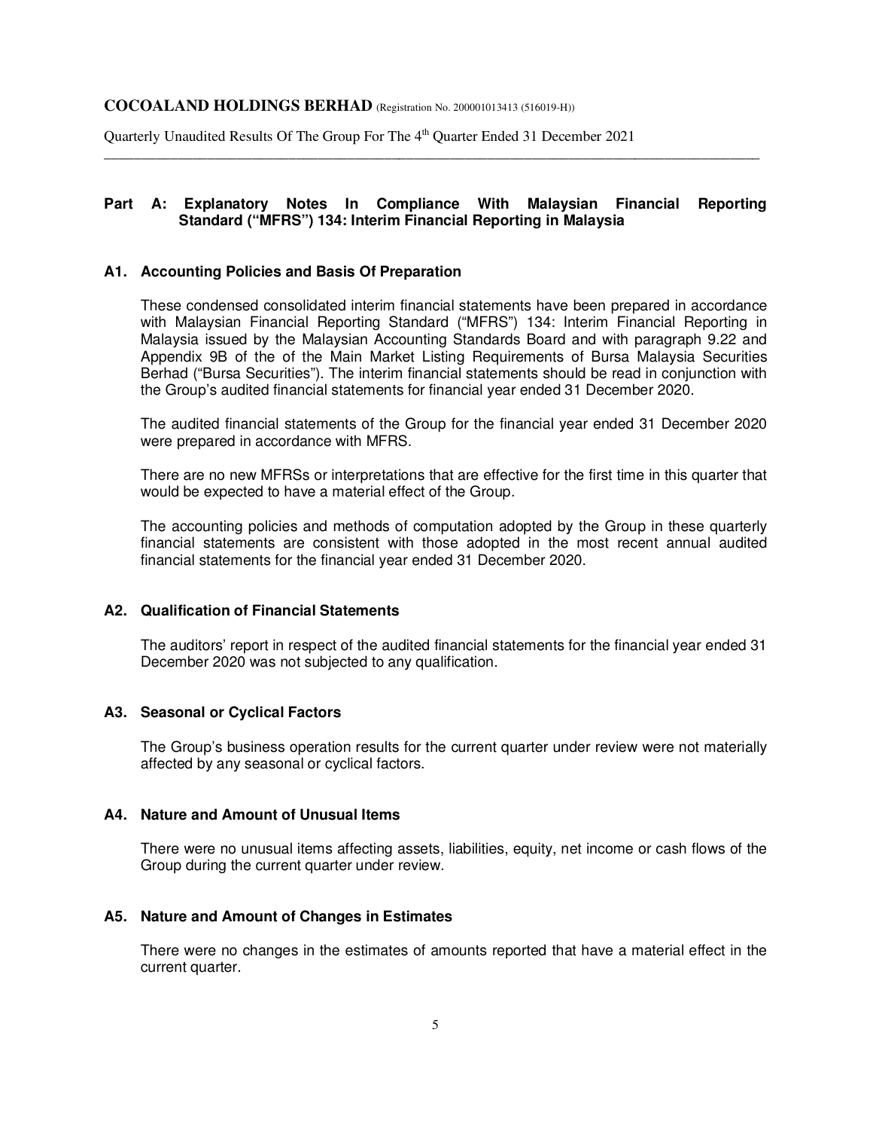Quarterly Unaudited Results Of The Group For The 4<sup>th</sup> Quarter Ended 31 December 2021

# **Part A: Explanatory Notes In Compliance With Malaysian Financial Reporting Standard ("MFRS") 134: Interim Financial Reporting in Malaysia**

\_\_\_\_\_\_\_\_\_\_\_\_\_\_\_\_\_\_\_\_\_\_\_\_\_\_\_\_\_\_\_\_\_\_\_\_\_\_\_\_\_\_\_\_\_\_\_\_\_\_\_\_\_\_\_\_\_\_\_\_\_\_\_\_\_\_\_\_\_\_\_\_\_\_\_\_\_\_\_\_\_\_\_\_\_\_\_\_\_

#### **A1. Accounting Policies and Basis Of Preparation**

These condensed consolidated interim financial statements have been prepared in accordance with Malaysian Financial Reporting Standard ("MFRS") 134: Interim Financial Reporting in Malaysia issued by the Malaysian Accounting Standards Board and with paragraph 9.22 and Appendix 9B of the of the Main Market Listing Requirements of Bursa Malaysia Securities Berhad ("Bursa Securities"). The interim financial statements should be read in conjunction with the Group's audited financial statements for financial year ended 31 December 2020.

 The audited financial statements of the Group for the financial year ended 31 December 2020 were prepared in accordance with MFRS.

 There are no new MFRSs or interpretations that are effective for the first time in this quarter that would be expected to have a material effect of the Group.

 The accounting policies and methods of computation adopted by the Group in these quarterly financial statements are consistent with those adopted in the most recent annual audited financial statements for the financial year ended 31 December 2020.

# **A2. Qualification of Financial Statements**

The auditors' report in respect of the audited financial statements for the financial year ended 31 December 2020 was not subjected to any qualification.

# **A3. Seasonal or Cyclical Factors**

The Group's business operation results for the current quarter under review were not materially affected by any seasonal or cyclical factors.

## **A4. Nature and Amount of Unusual Items**

There were no unusual items affecting assets, liabilities, equity, net income or cash flows of the Group during the current quarter under review.

#### **A5. Nature and Amount of Changes in Estimates**

There were no changes in the estimates of amounts reported that have a material effect in the current quarter.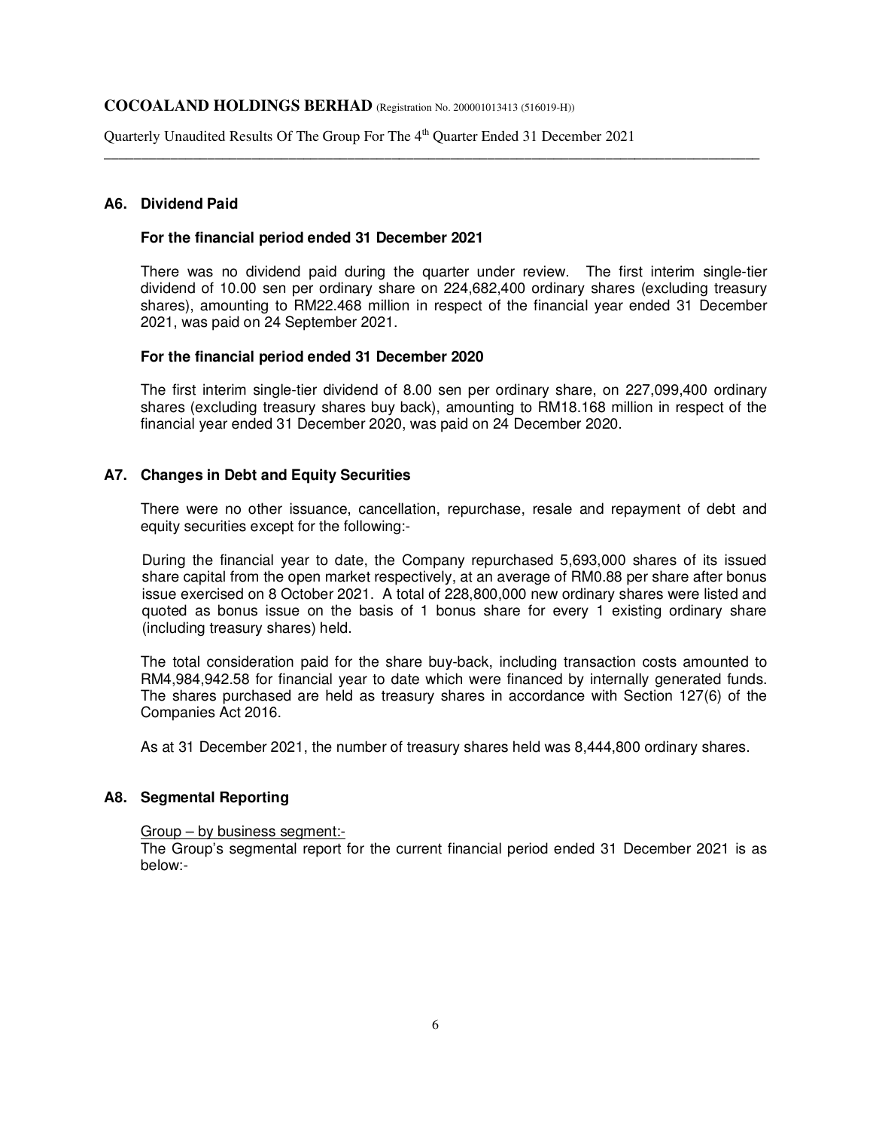Quarterly Unaudited Results Of The Group For The 4<sup>th</sup> Quarter Ended 31 December 2021

# **A6. Dividend Paid**

#### **For the financial period ended 31 December 2021**

There was no dividend paid during the quarter under review. The first interim single-tier dividend of 10.00 sen per ordinary share on 224,682,400 ordinary shares (excluding treasury shares), amounting to RM22.468 million in respect of the financial year ended 31 December 2021, was paid on 24 September 2021.

\_\_\_\_\_\_\_\_\_\_\_\_\_\_\_\_\_\_\_\_\_\_\_\_\_\_\_\_\_\_\_\_\_\_\_\_\_\_\_\_\_\_\_\_\_\_\_\_\_\_\_\_\_\_\_\_\_\_\_\_\_\_\_\_\_\_\_\_\_\_\_\_\_\_\_\_\_\_\_\_\_\_\_\_\_\_\_\_\_

#### **For the financial period ended 31 December 2020**

The first interim single-tier dividend of 8.00 sen per ordinary share, on 227,099,400 ordinary shares (excluding treasury shares buy back), amounting to RM18.168 million in respect of the financial year ended 31 December 2020, was paid on 24 December 2020.

# **A7. Changes in Debt and Equity Securities**

There were no other issuance, cancellation, repurchase, resale and repayment of debt and equity securities except for the following:-

During the financial year to date, the Company repurchased 5,693,000 shares of its issued share capital from the open market respectively, at an average of RM0.88 per share after bonus issue exercised on 8 October 2021. A total of 228,800,000 new ordinary shares were listed and quoted as bonus issue on the basis of 1 bonus share for every 1 existing ordinary share (including treasury shares) held.

The total consideration paid for the share buy-back, including transaction costs amounted to RM4,984,942.58 for financial year to date which were financed by internally generated funds. The shares purchased are held as treasury shares in accordance with Section 127(6) of the Companies Act 2016.

As at 31 December 2021, the number of treasury shares held was 8,444,800 ordinary shares.

## **A8. Segmental Reporting**

#### Group – by business segment:-

The Group's segmental report for the current financial period ended 31 December 2021 is as below:-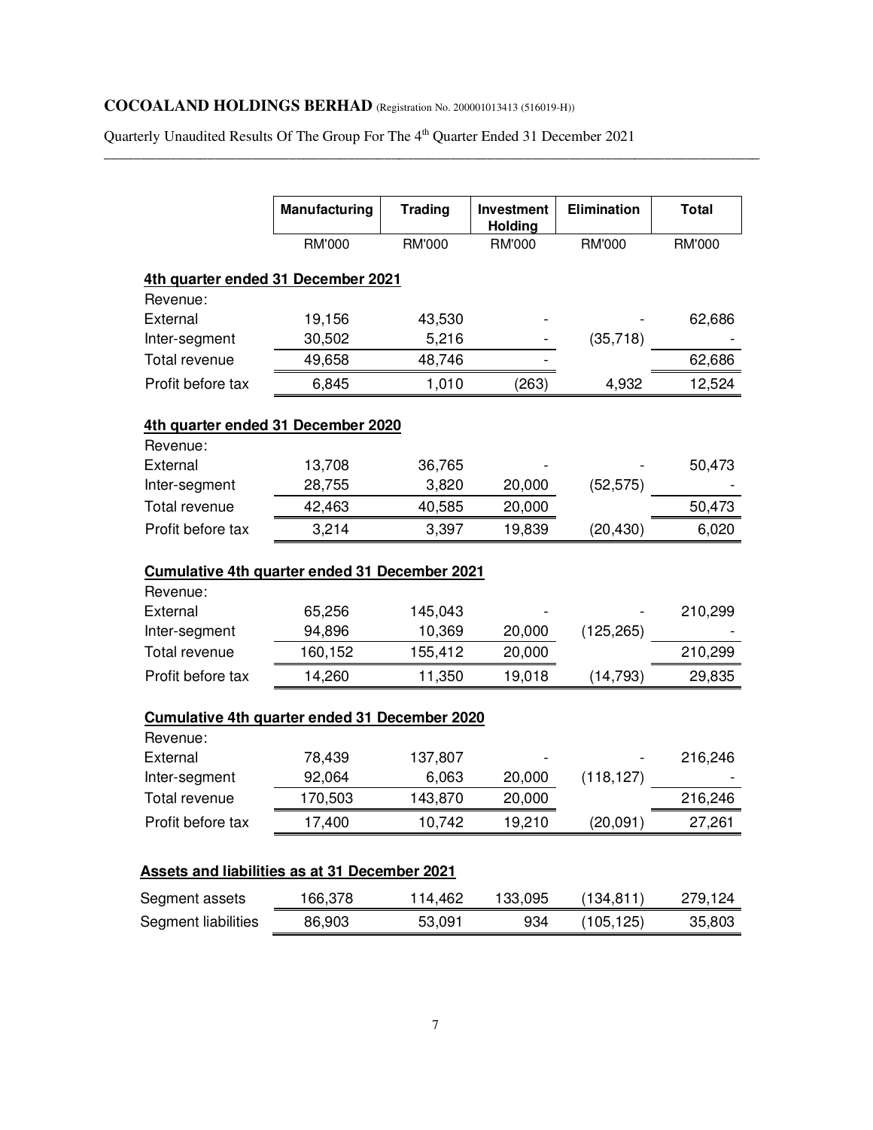Quarterly Unaudited Results Of The Group For The 4<sup>th</sup> Quarter Ended 31 December 2021

\_\_\_\_\_\_\_\_\_\_\_\_\_\_\_\_\_\_\_\_\_\_\_\_\_\_\_\_\_\_\_\_\_\_\_\_\_\_\_\_\_\_\_\_\_\_\_\_\_\_\_\_\_\_\_\_\_\_\_\_\_\_\_\_\_\_\_\_\_\_\_\_\_\_\_\_\_\_\_\_\_\_\_\_\_\_\_\_\_

|                                                                        | <b>Manufacturing</b> | <b>Trading</b> | Investment<br>Holding | <b>Elimination</b> | <b>Total</b>                            |
|------------------------------------------------------------------------|----------------------|----------------|-----------------------|--------------------|-----------------------------------------|
|                                                                        | RM'000               | <b>RM'000</b>  | RM'000                | <b>RM'000</b>      | RM'000                                  |
| 4th quarter ended 31 December 2021                                     |                      |                |                       |                    |                                         |
| Revenue:                                                               |                      |                |                       |                    |                                         |
| External                                                               | 19,156               | 43,530         |                       |                    | 62,686                                  |
| Inter-segment                                                          | 30,502               | 5,216          |                       | (35, 718)          |                                         |
| Total revenue                                                          | 49,658               | 48,746         |                       |                    | 62,686                                  |
| Profit before tax                                                      | 6,845                | 1,010          | (263)                 | 4,932              | 12,524                                  |
| 4th quarter ended 31 December 2020                                     |                      |                |                       |                    |                                         |
| Revenue:                                                               |                      |                |                       |                    |                                         |
| External                                                               | 13,708               | 36,765         |                       |                    | 50,473                                  |
| Inter-segment                                                          | 28,755               | 3,820          | 20,000                | (52, 575)          |                                         |
| <b>Total revenue</b>                                                   | 42,463               | 40,585         | 20,000                |                    | 50,473                                  |
| Profit before tax                                                      | 3,214                | 3,397          | 19,839                | (20, 430)          | 6,020                                   |
| <b>Cumulative 4th quarter ended 31 December 2021</b>                   |                      |                |                       |                    |                                         |
| Revenue:                                                               |                      |                |                       |                    |                                         |
| External                                                               | 65,256               | 145,043        |                       |                    | 210,299                                 |
| Inter-segment                                                          | 94,896               | 10,369         | 20,000                | (125, 265)         |                                         |
| Total revenue                                                          | 160,152              | 155,412        | 20,000                |                    | 210,299                                 |
| Profit before tax                                                      | 14,260               | 11,350         | 19,018                | (14, 793)          | 29,835                                  |
| <b>Cumulative 4th quarter ended 31 December 2020</b>                   |                      |                |                       |                    |                                         |
|                                                                        |                      |                |                       |                    |                                         |
| Revenue:                                                               |                      |                |                       |                    |                                         |
| External                                                               | 78,439               | 137,807        |                       |                    |                                         |
| Inter-segment                                                          | 92,064               | 6,063          | 20,000                | (118, 127)         |                                         |
| Total revenue                                                          | 170,503              | 143,870        | 20,000                |                    |                                         |
| Profit before tax                                                      | 17,400               | 10,742         | 19,210                | (20, 091)          |                                         |
|                                                                        |                      |                |                       |                    |                                         |
| <b>Assets and liabilities as at 31 December 2021</b><br>Segment assets | 166,378              | 114,462        | 133,095               | (134, 811)         | 216,246<br>216,246<br>27,261<br>279,124 |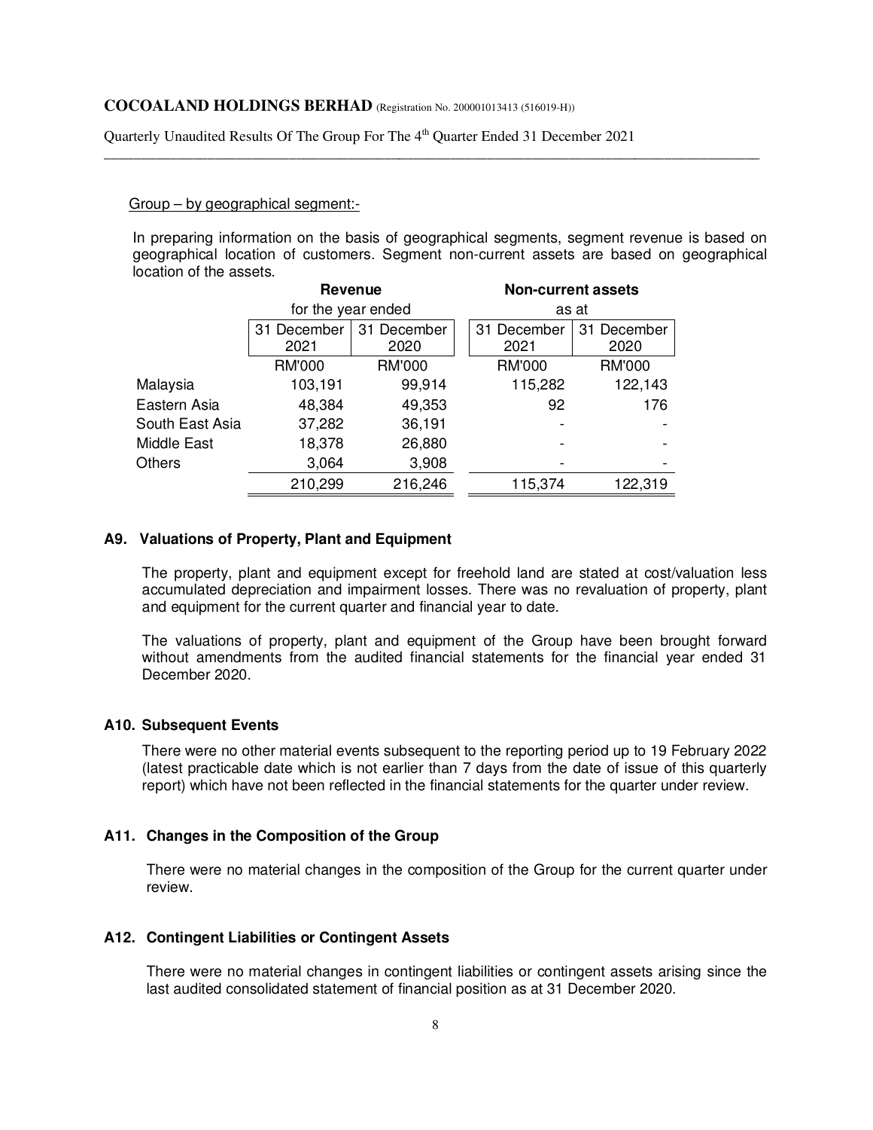Quarterly Unaudited Results Of The Group For The 4<sup>th</sup> Quarter Ended 31 December 2021

#### Group – by geographical segment:-

In preparing information on the basis of geographical segments, segment revenue is based on geographical location of customers. Segment non-current assets are based on geographical location of the assets.

\_\_\_\_\_\_\_\_\_\_\_\_\_\_\_\_\_\_\_\_\_\_\_\_\_\_\_\_\_\_\_\_\_\_\_\_\_\_\_\_\_\_\_\_\_\_\_\_\_\_\_\_\_\_\_\_\_\_\_\_\_\_\_\_\_\_\_\_\_\_\_\_\_\_\_\_\_\_\_\_\_\_\_\_\_\_\_\_\_

|                 | <b>Revenue</b>     |               |             | <b>Non-current assets</b> |
|-----------------|--------------------|---------------|-------------|---------------------------|
|                 | for the year ended |               |             | as at                     |
|                 | December<br>31     | 31 December   | 31 December | 31 December               |
|                 | 2021               | 2020          | 2021        | 2020                      |
|                 | <b>RM'000</b>      | <b>RM'000</b> |             | <b>RM'000</b>             |
| Malaysia        | 103,191            | 99,914        | 115,282     | 122,143                   |
| Eastern Asia    | 48,384             | 49,353        | 92          | 176                       |
| South East Asia | 37,282             | 36,191        |             |                           |
| Middle East     | 18,378             | 26,880        | -           |                           |
| Others          | 3,064              | 3,908         | -           |                           |
|                 | 210,299            | 216,246       | 115,374     | 122,319                   |

## **A9. Valuations of Property, Plant and Equipment**

The property, plant and equipment except for freehold land are stated at cost/valuation less accumulated depreciation and impairment losses. There was no revaluation of property, plant and equipment for the current quarter and financial year to date.

The valuations of property, plant and equipment of the Group have been brought forward without amendments from the audited financial statements for the financial year ended 31 December 2020.

#### **A10. Subsequent Events**

There were no other material events subsequent to the reporting period up to 19 February 2022 (latest practicable date which is not earlier than 7 days from the date of issue of this quarterly report) which have not been reflected in the financial statements for the quarter under review.

## **A11. Changes in the Composition of the Group**

 There were no material changes in the composition of the Group for the current quarter under review.

#### **A12. Contingent Liabilities or Contingent Assets**

 There were no material changes in contingent liabilities or contingent assets arising since the last audited consolidated statement of financial position as at 31 December 2020.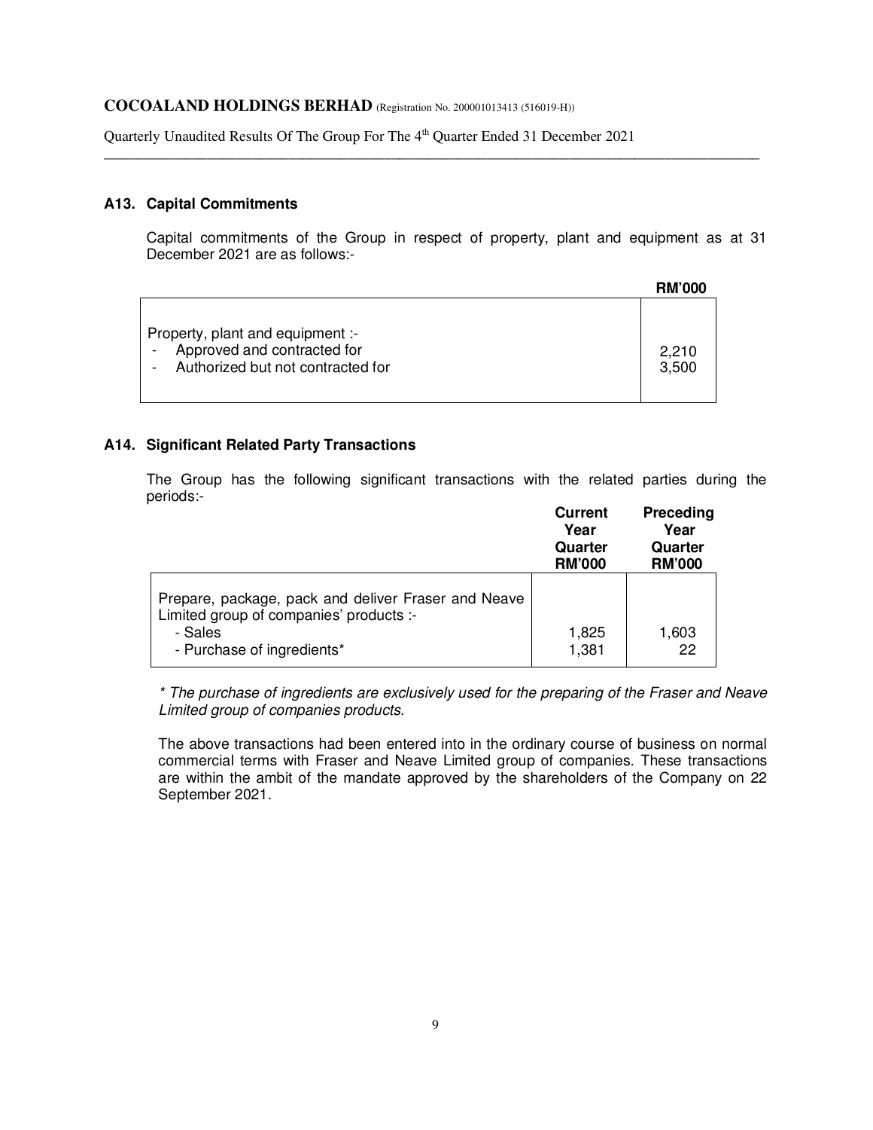Quarterly Unaudited Results Of The Group For The 4<sup>th</sup> Quarter Ended 31 December 2021

## **A13. Capital Commitments**

Capital commitments of the Group in respect of property, plant and equipment as at 31 December 2021 are as follows:-

\_\_\_\_\_\_\_\_\_\_\_\_\_\_\_\_\_\_\_\_\_\_\_\_\_\_\_\_\_\_\_\_\_\_\_\_\_\_\_\_\_\_\_\_\_\_\_\_\_\_\_\_\_\_\_\_\_\_\_\_\_\_\_\_\_\_\_\_\_\_\_\_\_\_\_\_\_\_\_\_\_\_\_\_\_\_\_\_\_

|                                                                                                      | <b>RM'000</b>  |
|------------------------------------------------------------------------------------------------------|----------------|
| Property, plant and equipment :-<br>Approved and contracted for<br>Authorized but not contracted for | 2,210<br>3.500 |

#### **A14. Significant Related Party Transactions**

The Group has the following significant transactions with the related parties during the periods:-

|                                                                                  | <b>Current</b><br>Year<br>Quarter<br><b>RM'000</b> | <b>Preceding</b><br>Year<br>Quarter<br><b>RM'000</b> |
|----------------------------------------------------------------------------------|----------------------------------------------------|------------------------------------------------------|
| Prepare, package, pack and deliver Fraser and Neave                              |                                                    |                                                      |
| Limited group of companies' products :-<br>- Sales<br>- Purchase of ingredients* | 1,825<br>1,381                                     | 1,603<br>22                                          |

\* The purchase of ingredients are exclusively used for the preparing of the Fraser and Neave Limited group of companies products.

The above transactions had been entered into in the ordinary course of business on normal commercial terms with Fraser and Neave Limited group of companies. These transactions are within the ambit of the mandate approved by the shareholders of the Company on 22 September 2021.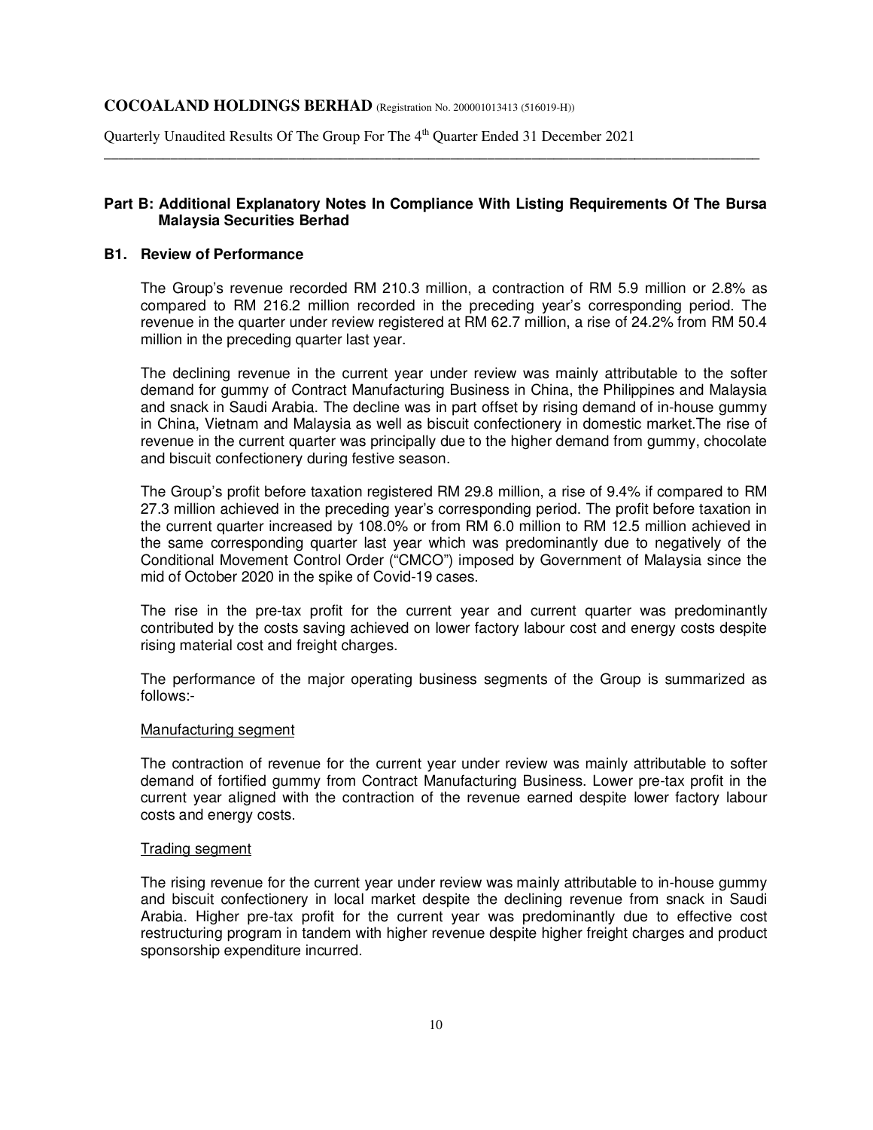Quarterly Unaudited Results Of The Group For The 4<sup>th</sup> Quarter Ended 31 December 2021

# **Part B: Additional Explanatory Notes In Compliance With Listing Requirements Of The Bursa Malaysia Securities Berhad**

\_\_\_\_\_\_\_\_\_\_\_\_\_\_\_\_\_\_\_\_\_\_\_\_\_\_\_\_\_\_\_\_\_\_\_\_\_\_\_\_\_\_\_\_\_\_\_\_\_\_\_\_\_\_\_\_\_\_\_\_\_\_\_\_\_\_\_\_\_\_\_\_\_\_\_\_\_\_\_\_\_\_\_\_\_\_\_\_\_

#### **B1. Review of Performance**

The Group's revenue recorded RM 210.3 million, a contraction of RM 5.9 million or 2.8% as compared to RM 216.2 million recorded in the preceding year's corresponding period. The revenue in the quarter under review registered at RM 62.7 million, a rise of 24.2% from RM 50.4 million in the preceding quarter last year.

The declining revenue in the current year under review was mainly attributable to the softer demand for gummy of Contract Manufacturing Business in China, the Philippines and Malaysia and snack in Saudi Arabia. The decline was in part offset by rising demand of in-house gummy in China, Vietnam and Malaysia as well as biscuit confectionery in domestic market.The rise of revenue in the current quarter was principally due to the higher demand from gummy, chocolate and biscuit confectionery during festive season.

The Group's profit before taxation registered RM 29.8 million, a rise of 9.4% if compared to RM 27.3 million achieved in the preceding year's corresponding period. The profit before taxation in the current quarter increased by 108.0% or from RM 6.0 million to RM 12.5 million achieved in the same corresponding quarter last year which was predominantly due to negatively of the Conditional Movement Control Order ("CMCO") imposed by Government of Malaysia since the mid of October 2020 in the spike of Covid-19 cases.

The rise in the pre-tax profit for the current year and current quarter was predominantly contributed by the costs saving achieved on lower factory labour cost and energy costs despite rising material cost and freight charges.

The performance of the major operating business segments of the Group is summarized as follows:-

#### Manufacturing segment

The contraction of revenue for the current year under review was mainly attributable to softer demand of fortified gummy from Contract Manufacturing Business. Lower pre-tax profit in the current year aligned with the contraction of the revenue earned despite lower factory labour costs and energy costs.

#### Trading segment

The rising revenue for the current year under review was mainly attributable to in-house gummy and biscuit confectionery in local market despite the declining revenue from snack in Saudi Arabia. Higher pre-tax profit for the current year was predominantly due to effective cost restructuring program in tandem with higher revenue despite higher freight charges and product sponsorship expenditure incurred.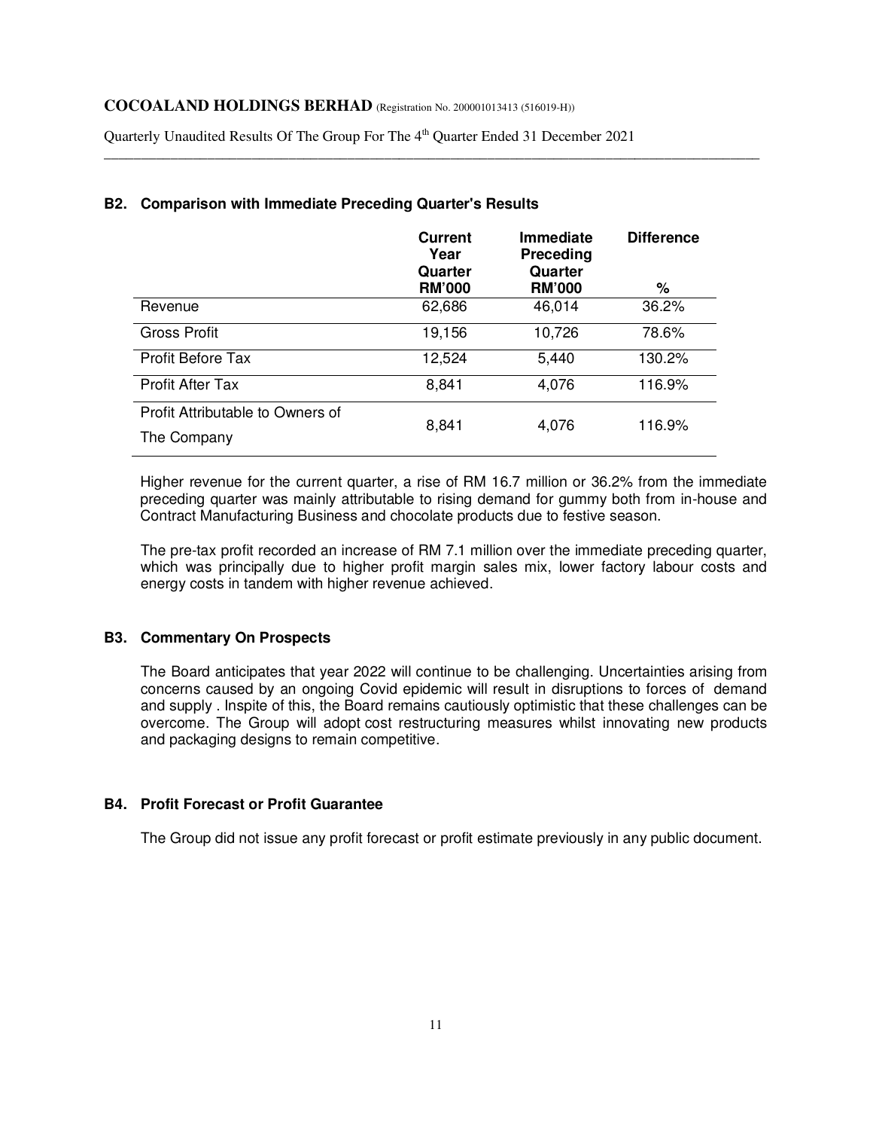Quarterly Unaudited Results Of The Group For The 4<sup>th</sup> Quarter Ended 31 December 2021

|                                  | <b>Current</b><br>Year<br>Quarter | <b>Immediate</b><br>Preceding<br>Quarter | <b>Difference</b> |
|----------------------------------|-----------------------------------|------------------------------------------|-------------------|
|                                  | <b>RM'000</b>                     | <b>RM'000</b>                            | %                 |
| Revenue                          | 62,686                            | 46,014                                   | 36.2%             |
| Gross Profit                     | 19,156                            | 10,726                                   | 78.6%             |
| <b>Profit Before Tax</b>         | 12,524                            | 5,440                                    | 130.2%            |
| <b>Profit After Tax</b>          | 8,841                             | 4,076                                    | 116.9%            |
| Profit Attributable to Owners of | 8,841                             | 4,076                                    | 116.9%            |
| The Company                      |                                   |                                          |                   |

\_\_\_\_\_\_\_\_\_\_\_\_\_\_\_\_\_\_\_\_\_\_\_\_\_\_\_\_\_\_\_\_\_\_\_\_\_\_\_\_\_\_\_\_\_\_\_\_\_\_\_\_\_\_\_\_\_\_\_\_\_\_\_\_\_\_\_\_\_\_\_\_\_\_\_\_\_\_\_\_\_\_\_\_\_\_\_\_\_

# **B2. Comparison with Immediate Preceding Quarter's Results**

Higher revenue for the current quarter, a rise of RM 16.7 million or 36.2% from the immediate preceding quarter was mainly attributable to rising demand for gummy both from in-house and Contract Manufacturing Business and chocolate products due to festive season.

The pre-tax profit recorded an increase of RM 7.1 million over the immediate preceding quarter, which was principally due to higher profit margin sales mix, lower factory labour costs and energy costs in tandem with higher revenue achieved.

# **B3. Commentary On Prospects**

The Board anticipates that year 2022 will continue to be challenging. Uncertainties arising from concerns caused by an ongoing Covid epidemic will result in disruptions to forces of demand and supply . Inspite of this, the Board remains cautiously optimistic that these challenges can be overcome. The Group will adopt cost restructuring measures whilst innovating new products and packaging designs to remain competitive.

## **B4. Profit Forecast or Profit Guarantee**

The Group did not issue any profit forecast or profit estimate previously in any public document.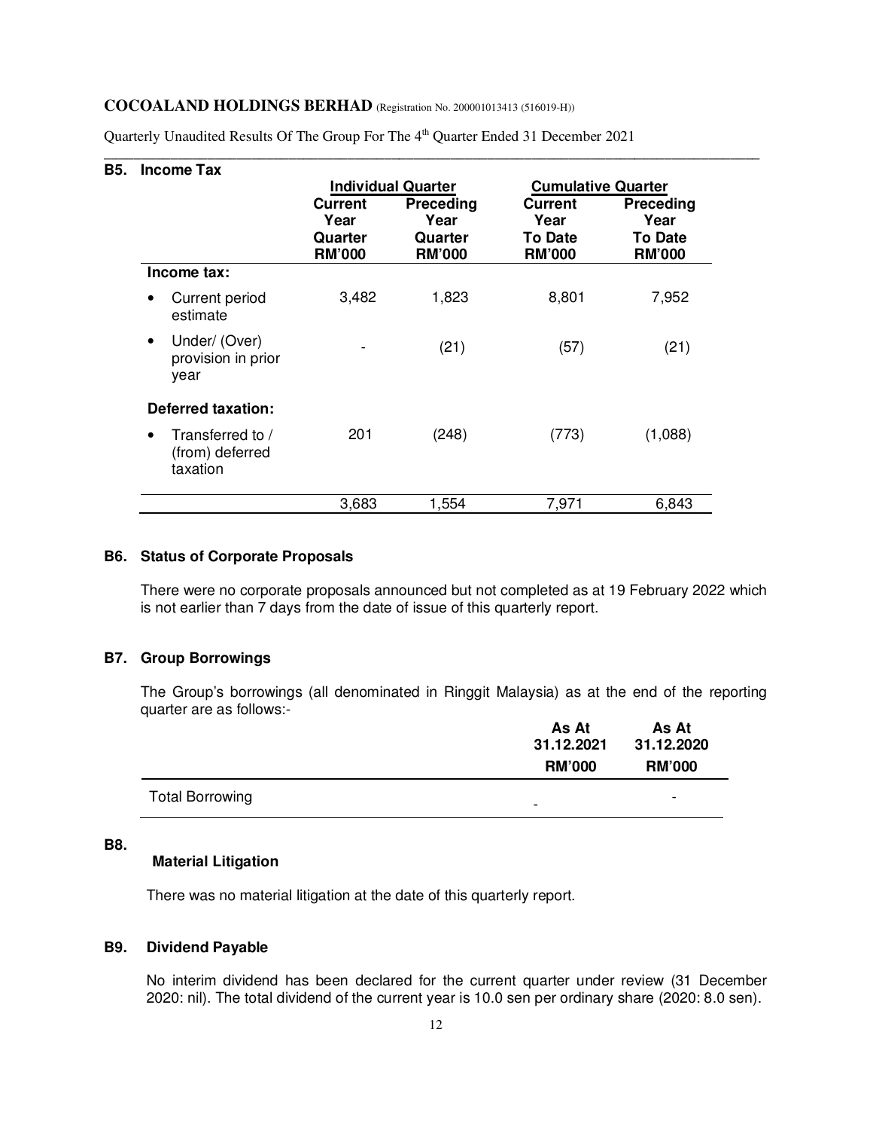| <b>B5.</b> | <b>Income Tax</b>                                            |                          |                           |                                 |                                 |
|------------|--------------------------------------------------------------|--------------------------|---------------------------|---------------------------------|---------------------------------|
|            |                                                              |                          | <b>Individual Quarter</b> | <b>Cumulative Quarter</b>       |                                 |
|            |                                                              | <b>Current</b><br>Year   | <b>Preceding</b><br>Year  | Current<br>Year                 | Preceding<br>Year               |
|            |                                                              | Quarter<br><b>RM'000</b> | Quarter<br><b>RM'000</b>  | <b>To Date</b><br><b>RM'000</b> | <b>To Date</b><br><b>RM'000</b> |
|            | Income tax:                                                  |                          |                           |                                 |                                 |
|            | Current period<br>$\bullet$<br>estimate                      | 3,482                    | 1,823                     | 8,801                           | 7,952                           |
|            | Under/ (Over)<br>$\bullet$<br>provision in prior<br>year     |                          | (21)                      | (57)                            | (21)                            |
|            | <b>Deferred taxation:</b>                                    |                          |                           |                                 |                                 |
|            | Transferred to /<br>$\bullet$<br>(from) deferred<br>taxation | 201                      | (248)                     | (773)                           | (1,088)                         |
|            |                                                              | 3,683                    | 1,554                     | 7,971                           | 6,843                           |

\_\_\_\_\_\_\_\_\_\_\_\_\_\_\_\_\_\_\_\_\_\_\_\_\_\_\_\_\_\_\_\_\_\_\_\_\_\_\_\_\_\_\_\_\_\_\_\_\_\_\_\_\_\_\_\_\_\_\_\_\_\_\_\_\_\_\_\_\_\_\_\_\_\_\_\_\_\_\_\_\_\_\_\_\_\_\_\_\_

Quarterly Unaudited Results Of The Group For The 4<sup>th</sup> Quarter Ended 31 December 2021

# **B6. Status of Corporate Proposals**

There were no corporate proposals announced but not completed as at 19 February 2022 which is not earlier than 7 days from the date of issue of this quarterly report.

# **B7. Group Borrowings**

The Group's borrowings (all denominated in Ringgit Malaysia) as at the end of the reporting quarter are as follows:-

|                        | As At<br>31.12.2021 | As At<br>31.12.2020 |
|------------------------|---------------------|---------------------|
|                        | <b>RM'000</b>       | <b>RM'000</b>       |
| <b>Total Borrowing</b> | -                   | -                   |

#### **B8.**

# **Material Litigation**

There was no material litigation at the date of this quarterly report.

#### **B9. Dividend Payable**

No interim dividend has been declared for the current quarter under review (31 December 2020: nil). The total dividend of the current year is 10.0 sen per ordinary share (2020: 8.0 sen).